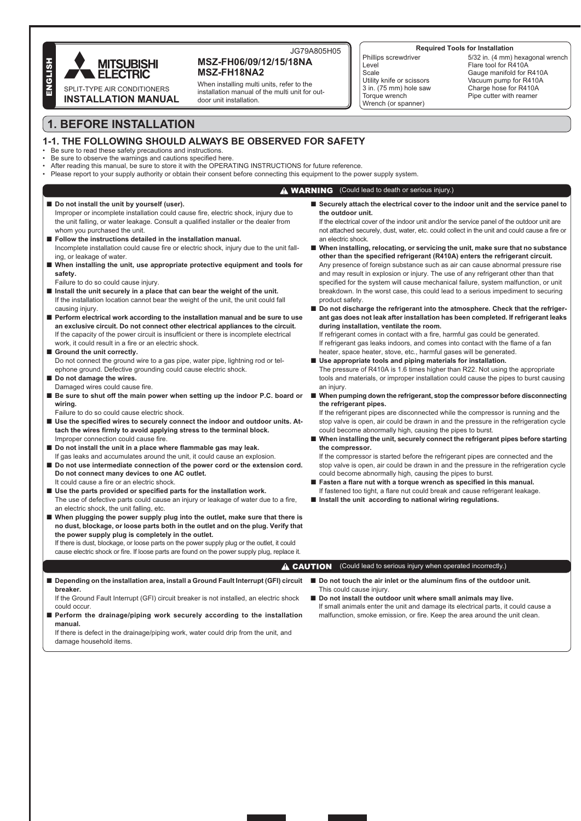

## JG79A805H05 MSZ-FH06/09/12/15/18NA MSZ-FH18NA2

When installing multi units, refer to the installation manual of the multi unit for outdoor unit installation

#### **Required Tools for Installation**

Phillips screwdriver l evel Scale Utility knife or scissors  $3$  in.  $(75 \text{ mm})$  hole saw Torque wrench Wrench (or spanner)

5/32 in. (4 mm) hexagonal wrench Flare tool for R410A Gauge manifold for R410A Vacuum pump for R410A Charge hose for R410A Pipe cutter with reamer

# **1. BEFORE INSTALLATION**

# 1-1. THE FOLLOWING SHOULD ALWAYS BE OBSERVED FOR SAFETY

- Be sure to read these safety precautions and instructions. Be sure to observe the warnings and cautions specified here
- After reading this manual, be sure to store it with the OPERATING INSTRUCTIONS for future reference.
- Please report to your supply authority or obtain their consent before connecting this equipment to the power supply system.

## **A WARNING** (Could lead to death or serious injury.)

- Do not install the unit by yourself (user). Improper or incomplete installation could cause fire, electric shock, injury due to the unit falling, or water leakage. Consult a qualified installer or the dealer from whom you purchased the unit.
- Follow the instructions detailed in the installation manual. Incomplete installation could cause fire or electric shock, injury due to the unit falling, or leakage of water
- When installing the unit, use appropriate protective equipment and tools for safety.
- Failure to do so could cause injury.
- Install the unit securely in a place that can bear the weight of the unit. If the installation location cannot bear the weight of the unit, the unit could fall causing injury.
- Perform electrical work according to the installation manual and be sure to use an exclusive circuit. Do not connect other electrical appliances to the circuit. If the capacity of the power circuit is insufficient or there is incomplete electrical work, it could result in a fire or an electric shock.
- Ground the unit correctly. Do not connect the ground wire to a gas pipe, water pipe, lightning rod or telephone ground. Defective grounding could cause electric shock. Do not damage the wires.
- Damaged wires could cause fire.
- Be sure to shut off the main power when setting up the indoor P.C. board or wiring.
- Failure to do so could cause electric shock.
- Use the specified wires to securely connect the indoor and outdoor units. Attach the wires firmly to avoid applying stress to the terminal block. Improper connection could cause fire.
- Do not install the unit in a place where flammable gas may leak. If gas leaks and accumulates around the unit, it could cause an explosion.
- Do not use intermediate connection of the power cord or the extension cord. Do not connect many devices to one AC outlet. It could cause a fire or an electric shock.
- Use the parts provided or specified parts for the installation work. The use of defective parts could cause an injury or leakage of water due to a fire, an electric shock, the unit falling, etc.
- When plugging the power supply plug into the outlet, make sure that there is no dust, blockage, or loose parts both in the outlet and on the plug. Verify that the power supply plug is completely in the outlet.

If there is dust, blockage, or loose parts on the power supply plug or the outlet, it could cause electric shock or fire. If loose parts are found on the power supply plug, replace it. Securely attach the electrical cover to the indoor unit and the service panel to the outdoor unit.

If the electrical cover of the indoor unit and/or the service panel of the outdoor unit are not attached securely, dust, water, etc. could collect in the unit and could cause a fire or an electric shock

- When installing, relocating, or servicing the unit, make sure that no substance other than the specified refrigerant (R410A) enters the refrigerant circuit. Any presence of foreign substance such as air can cause abnormal pressure rise and may result in explosion or injury. The use of any refrigerant other than that specified for the system will cause mechanical failure, system malfunction, or unit breakdown. In the worst case, this could lead to a serious impediment to securing product safety.
- Do not discharge the refrigerant into the atmosphere. Check that the refrigerant gas does not leak after installation has been completed. If refrigerant leaks during installation, ventilate the room.

If refrigerant comes in contact with a fire, harmful gas could be generated. If refrigerant gas leaks indoors, and comes into contact with the flame of a fan heater, space heater, stove, etc., harmful gases will be generated.

Use appropriate tools and piping materials for installation.

The pressure of R410A is 1.6 times higher than R22. Not using the appropriate tools and materials, or improper installation could cause the pipes to burst causing an iniury.

■ When pumping down the refrigerant, stop the compressor before disconnecting the refrigerant pipes.

If the refrigerant pipes are disconnected while the compressor is running and the stop valve is open, air could be drawn in and the pressure in the refrigeration cycle could become abnormally high, causing the pipes to burst.

■ When installing the unit, securely connect the refrigerant pipes before starting the compressor.

If the compressor is started before the refrigerant pipes are connected and the stop valve is open, air could be drawn in and the pressure in the refrigeration cycle could become abnormally high, causing the pipes to burst.

- Fasten a flare nut with a torque wrench as specified in this manual. If fastened too tight, a flare nut could break and cause refrigerant leakage.
- Install the unit according to national wiring regulations.

**A CAUTION** (Could lead to serious injury when operated incorrectly.)

Depending on the installation area, install a Ground Fault Interrupt (GFI) circuit breaker.

If the Ground Fault Interrupt (GFI) circuit breaker is not installed an electric shock could occur

Perform the drainage/piping work securely according to the installation manual.

If there is defect in the drainage/piping work, water could drip from the unit, and damage household items.

- Do not touch the air inlet or the aluminum fins of the outdoor unit. This could cause injury
- Do not install the outdoor unit where small animals may live. If small animals enter the unit and damage its electrical parts, it could cause a malfunction, smoke emission, or fire. Keep the area around the unit clean.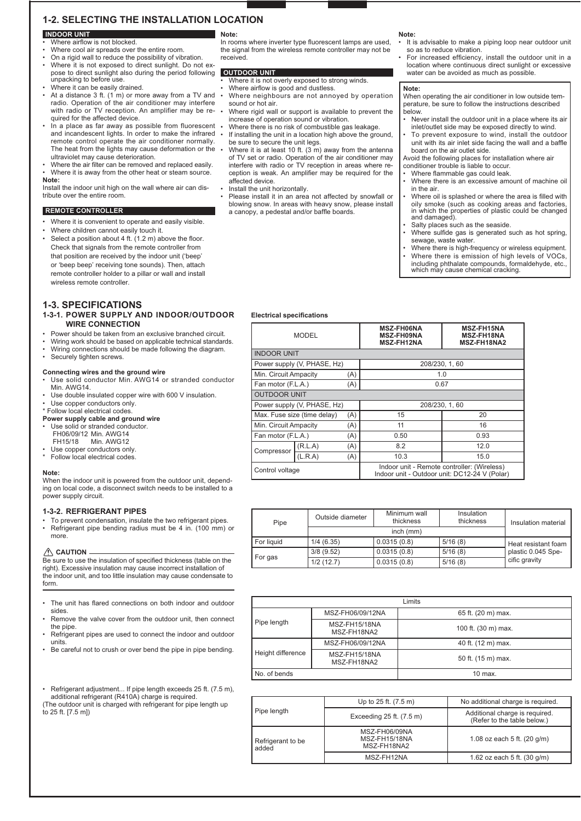# **1-2. SELECTING THE INSTALLATION LOCATION**

#### **INDOOR UNIT** Where airflow is not blocked

- Where cool air spreads over the entire room.
- On a rigid wall to reduce the possibility of vibration.
- Where it is not exposed to direct sunlight. Do not expose to direct sunlight also during the period following OUTDOOR UNIT<br>unpacking to before use.
- Where it can be easily drained.
- At a distance 3 ft.  $(1 \n m)$  or more away from a TV and radio. Operation of the air conditioner may interfere<br>with radio or TV reception. An amplifier may be required for the affected device.
- In a place as far away as possible from fluorescent . and incandescent lights. In order to make the infrared . remote control operate the air conditioner normally. The heat from the lights may cause deformation or the ultraviolet may cause deterioration.
- Where the air filter can be removed and replaced easily. Where it is away from the other heat or steam source.

#### Note:

Install the indoor unit high on the wall where air can distribute over the entire room.

## **REMOTE CONTROLLER**

- Where it is convenient to operate and easily visible.
- Where children cannot easily touch it. Select a position about 4 ft. (1.2 m) above the floor. Check that signals from the remote controller from that position are received by the indoor unit ('beep' or 'beep beep' receiving tone sounds). Then, attach remote controller holder to a pillar or wall and install

## **1-3. SPECIFICATIONS**

wireless remote controller.

1-3-1. POWER SUPPLY AND INDOOR/OUTDOOR **WIRE CONNECTION** 

- Power should be taken from an exclusive branched circuit. Wiring work should be based on applicable technical standards.
- Wiring connections should be made following the diagram
- Securely tighten screws.

#### Connecting wires and the ground wire

- Use solid conductor Min. AWG14 or stranded conductor Min. AWG14.
- Use double insulated copper wire with 600 V insulation
- Use copper conductors only.
- \* Follow local electrical codes.
- Power supply cable and ground wire
- Use solid or stranded conductor. FH06/09/12 Min. AWG14 FH15/18 Min. AWG12
- Use copper conductors only. Follow local electrical codes.

#### Note:

When the indoor unit is nowered from the outdoor unit, depending on local code, a disconnect switch needs to be installed to a power supply circuit.

## **1-3-2. REFRIGERANT PIPES**

To prevent condensation, insulate the two refrigerant pipes. Refrigerant pipe bending radius must be 4 in. (100 mm) or more.

#### $\land$  CAUTION

Be sure to use the insulation of specified thickness (table on the right). Excessive insulation may cause incorrect installation of the indoor unit, and too little insulation may cause condensate to form.

- The unit has flared connections on both indoor and outdoor sides
- Remove the valve cover from the outdoor unit, then connect the pipe Refrigerant pipes are used to connect the indoor and outdoor
- units
- Be careful not to crush or over bend the pipe in pipe bending
- Refrigerant adjustment... If pipe length exceeds 25 ft. (7.5 m), additional refrigerant (R410A) charge is required. (The outdoor unit is charged with refrigerant for pipe length up to  $25$  ft.  $[7.5$  ml)

#### Note:

In rooms where inverter type fluorescent lamps are used, the signal from the wireless remote controller may not be received

- Where it is not overly exposed to strong winds.
- Where airflow is good and dustless
- Where neighbours are not annoved by operation sound or hot air.
- Where rigid wall or support is available to prevent the increase of operation sound or vibration.
- Where there is no risk of combustible gas leakage If installing the unit in a location high above the ground, be sure to secure the unit legs.
- Where it is at least 10 ft.  $(3 \text{ m})$  away from the antenna of TV set or radio. Operation of the air conditioner may interfere with radio or TV reception in areas where reception is weak. An amplifier may be required for the affected device.
- Install the unit horizontally.
- Please install it in an area not affected by snowfall or blowing snow. In areas with heavy snow, please install a canopy, a pedestal and/or baffle boards

#### Note:

- It is advisable to make a piping loop near outdoor unit so as to reduce vibration.
- For increased efficiency, install the outdoor unit in a location where continuous direct sunlight or excessive water can be avoided as much as possible.

#### Note:

When operating the air conditioner in low outside temperature, be sure to follow the instructions described below.

- Never install the outdoor unit in a place where its air inlet/outlet side may be exposed directly to wind.
- To prevent exposure to wind, install the outdoor unit with its air inlet side facing the wall and a baffle board on the air outlet side.

Avoid the following places for installation where air conditioner trouble is liable to occur.

- 
- Where flammable gas could leak.<br>Where there is an excessive amount of machine oil in the air
- Where oil is splashed or where the area is filled with oily smoke (such as cooking areas and factories,<br>in which the properties of plastic could be changed and damaged).
	- Salty places such as the seaside.
	- Where sulfide gas is generated such as hot spring, sewage, waste water.
	- Sumage, made mate...<br>Where there is high-frequency or wireless equipment.<br>Where there is emission of high levels of VOCs, including phthalate compounds, formaldehyde, etc. which may cause chemical cracking.

## **Electrical specifications**

| <b>MODEL</b>                       |                             | <b>MSZ-FH06NA</b><br><b>MSZ-FH09NA</b><br><b>MSZ-FH12NA</b> | <b>MSZ-FH15NA</b><br><b>MSZ-FH18NA</b><br>MSZ-FH18NA2                                        |      |  |  |  |
|------------------------------------|-----------------------------|-------------------------------------------------------------|----------------------------------------------------------------------------------------------|------|--|--|--|
|                                    | <b>INDOOR UNIT</b>          |                                                             |                                                                                              |      |  |  |  |
|                                    | Power supply (V, PHASE, Hz) |                                                             | 208/230, 1, 60                                                                               |      |  |  |  |
| Min. Circuit Ampacity              |                             | (A)                                                         |                                                                                              | 1.0  |  |  |  |
| Fan motor (F.L.A.)                 |                             | (A)                                                         |                                                                                              | 0.67 |  |  |  |
|                                    | <b>OUTDOOR UNIT</b>         |                                                             |                                                                                              |      |  |  |  |
|                                    | Power supply (V, PHASE, Hz) |                                                             | 208/230, 1, 60                                                                               |      |  |  |  |
| Max. Fuse size (time delay)<br>(A) |                             | 15                                                          | 20                                                                                           |      |  |  |  |
| Min. Circuit Ampacity<br>(A)       |                             | 11                                                          | 16                                                                                           |      |  |  |  |
| Fan motor (F.L.A.)<br>(A)          |                             | 0.50                                                        | 0.93                                                                                         |      |  |  |  |
|                                    | (R.L.A)                     | (A)                                                         | 8.2                                                                                          | 12.0 |  |  |  |
| Compressor                         | (L.R.A)                     | (A)                                                         | 10.3                                                                                         | 15.0 |  |  |  |
| Control voltage                    |                             |                                                             | Indoor unit - Remote controller: (Wireless)<br>Indoor unit - Outdoor unit: DC12-24 V (Polar) |      |  |  |  |

| Pipe       | Outside diameter | Minimum wall<br>thickness | Insulation<br>thickness | Insulation material                 |  |
|------------|------------------|---------------------------|-------------------------|-------------------------------------|--|
|            |                  |                           |                         |                                     |  |
| For liquid | 1/4(6.35)        | 0.0315(0.8)               | 5/16(8)                 | Heat resistant foam                 |  |
| For gas    | 3/8(9.52)        | 0.0315(0.8)               | 5/16(8)                 | plastic 0.045 Spe-<br>cific gravity |  |
|            | 1/2(12.7)        | 0.0315(0.8)               | 5/16(8)                 |                                     |  |

|                   |                                     | Limits              |
|-------------------|-------------------------------------|---------------------|
|                   | MSZ-FH06/09/12NA                    | 65 ft. (20 m) max.  |
| Pipe length       | <b>MSZ-FH15/18NA</b><br>MSZ-FH18NA2 | 100 ft. (30 m) max. |
| Height difference | MSZ-FH06/09/12NA                    | 40 ft. (12 m) max.  |
|                   | MSZ-FH15/18NA<br>MSZ-FH18NA2        | 50 ft. (15 m) max.  |
| No. of bends      |                                     | $10$ max.           |

|                            | Up to 25 ft. (7.5 m)                          | No additional charge is required.                             |  |
|----------------------------|-----------------------------------------------|---------------------------------------------------------------|--|
| Pipe length                | Exceeding 25 ft. (7.5 m)                      | Additional charge is required.<br>(Refer to the table below.) |  |
| Refrigerant to be<br>added | MSZ-FH06/09NA<br>MSZ-FH15/18NA<br>MSZ-FH18NA2 | 1.08 oz each 5 ft. $(20 \text{ q/m})$                         |  |
|                            | MSZ-FH12NA                                    | 1.62 oz each 5 ft. $(30 \text{ q/m})$                         |  |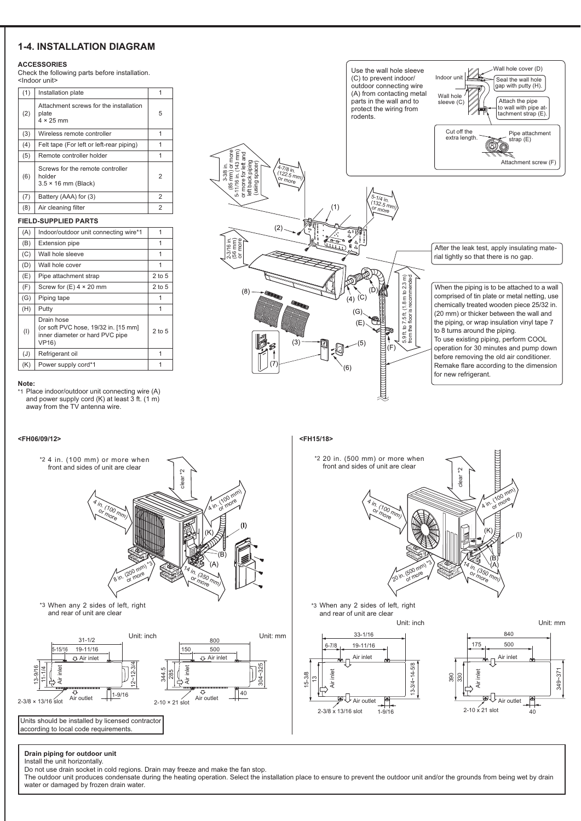# **1-4. INSTALLATION DIAGRAM**

## **ACCESSORIES**

Check the following parts before installation.

| (1) | Installation plate                                                       | 1              |  |  |
|-----|--------------------------------------------------------------------------|----------------|--|--|
| (2) | Attachment screws for the installation<br>plate<br>$4 \times 25$ mm      | 5              |  |  |
| (3) | Wireless remote controller                                               | 1              |  |  |
| (4) | Felt tape (For left or left-rear piping)                                 | 1              |  |  |
| (5) | Remote controller holder                                                 | 1              |  |  |
| (6) | Screws for the remote controller<br>holder<br>$3.5 \times 16$ mm (Black) | $\overline{2}$ |  |  |
| (7) | Battery (AAA) for (3)                                                    | 2              |  |  |
| (8) | Air cleaning filter                                                      | 2              |  |  |
|     |                                                                          |                |  |  |

## **FIELD-SUPPLIED PARTS**

| (A) | Indoor/outdoor unit connecting wire*1                                                                 | 1          |
|-----|-------------------------------------------------------------------------------------------------------|------------|
| (B) | <b>Extension pipe</b>                                                                                 | 1          |
| (C) | Wall hole sleeve                                                                                      | 1          |
| (D) | Wall hole cover                                                                                       | 1          |
| (E) | Pipe attachment strap                                                                                 | $2$ to $5$ |
| (F) | Screw for $(E)$ 4 $\times$ 20 mm                                                                      | 2 to 5     |
| (G) | Piping tape                                                                                           |            |
| (H) | Putty                                                                                                 | 1          |
| (1) | Drain hose<br>(or soft PVC hose, 19/32 in. [15 mm]<br>inner diameter or hard PVC pipe<br><b>VP16)</b> | $2$ to $5$ |
| (J) | Refrigerant oil                                                                                       | 1          |
| (K) | Power supply cord*1                                                                                   |            |

#### Note:

<FH06/09/12>

\*1 Place indoor/outdoor unit connecting wire (A) and power supply cord (K) at least 3 ft. (1 m) away from the TV antenna wire.



<FH15/18>



#### Drain piping for outdoor unit Install the unit horizontally.

no not use drain socket in cold regions. Drain may freeze and make the fan stop.<br>The outdoor unit produces condensate during the heating operation. Select the installation place to ensure to prevent the outdoor unit and/or water or damaged by frozen drain water.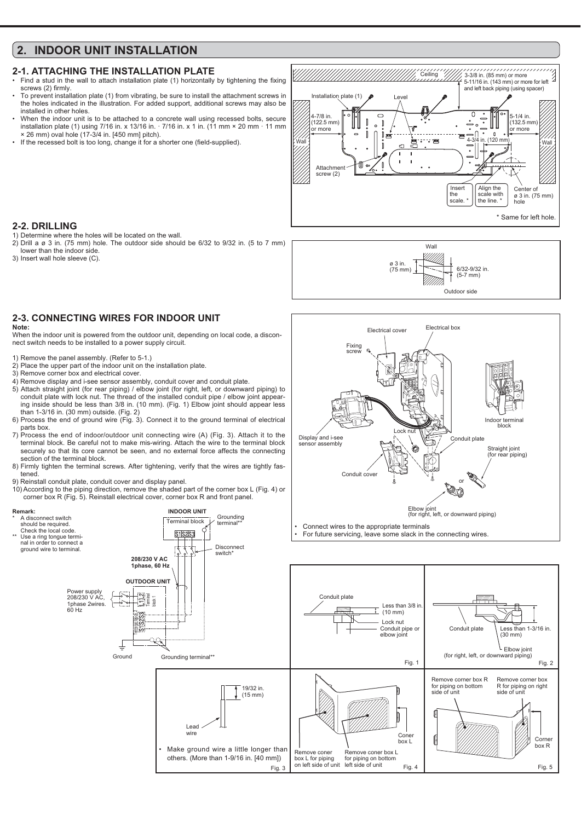# 2. INDOOR UNIT INSTALL ATION

## **2-1. ATTACHING THE INSTALLATION PLATE**

- Find a stud in the wall to attach installation plate (1) horizontally by tightening the fixing screws (2) firmly. To prevent installation plate (1) from vibrating, be sure to install the attachment screws in
- the holes indicated in the illustration. For added support, additional screws may also be installed in other holes
- When the indoor unit is to be attached to a concrete wall using recessed bolts, secure installation plate (1) using 7/16 in. x 13/16 in.  $\cdot$  7/16 in. x 1 in. (11 mm × 20 mm  $\cdot$  11 mm<br>x 26 mm) oval hole (17-3/4 in. [450 mm] pitch).
- If the recessed bolt is too long, change it for a shorter one (field-supplied)



Wall

Electrical box

6/32-9/32 in.  $(5-7$  mm)

nduit nlate

ð (f

Indoor termina **block** 

Straight joint

(for rear piping)

Outdoor side

 $\varnothing$  3 in.  $(75 \text{ mm})$ 

Electrical cover

Fixing ecrou

Conduit cove

Display and i-se

sensor assembly

## 2-2. DRILLING

- 1) Determine where the holes will be located on the wall.
- $2)$  Drill a ø 3 in. (75 mm) hole. The outdoor side should be 6/32 to 9/32 in. (5 to 7 mm) lower than the indoor side.
- 3) Insert wall hole sleeve (C).

# **2-3. CONNECTING WIRES FOR INDOOR UNIT**

#### Note:

When the indoor unit is powered from the outdoor unit, depending on local code, a disconnect switch needs to be installed to a power supply circuit.

- 1) Remove the panel assembly. (Refer to 5-1.)
- 2) Place the upper part of the indoor unit on the installation plate.
- 3) Remove corner hov and electrical cover
- 4) Remove display and i-see sensor assembly, conduit cover and conduit plate. 5) Attach straight joint (for rear piping) / elbow joint (for right, left, or downward piping) to conduit plate with lock nut. The thread of the installed conduit pipe / elbow joint appearing inside should be less than 3/8 in. (10 mm). (Fig. 1) Elbow joint should appear less than 1-3/16 in. (30 mm) outside. (Fig. 2)
- 6) Process the end of ground wire (Fig. 3). Connect it to the ground terminal of electrical parts box.
- 7) Process the end of indoor/outdoor unit connecting wire (A) (Fig. 3). Attach it to the terminal block. Be careful not to make mis-wiring. Attach the wire to the terminal block securely so that its core cannot be seen, and no external force affects the connecting section of the terminal block
- 8) Firmly tighten the terminal screws. After tightening, verify that the wires are tightly fastened.
- 9) Reinstall conduit plate, conduit cover and display panel.
- 10) According to the piping direction, remove the shaded part of the corner box L (Fig. 4) or corner box R (Fig. 5). Reinstall electrical cover, corner box R and front panel.

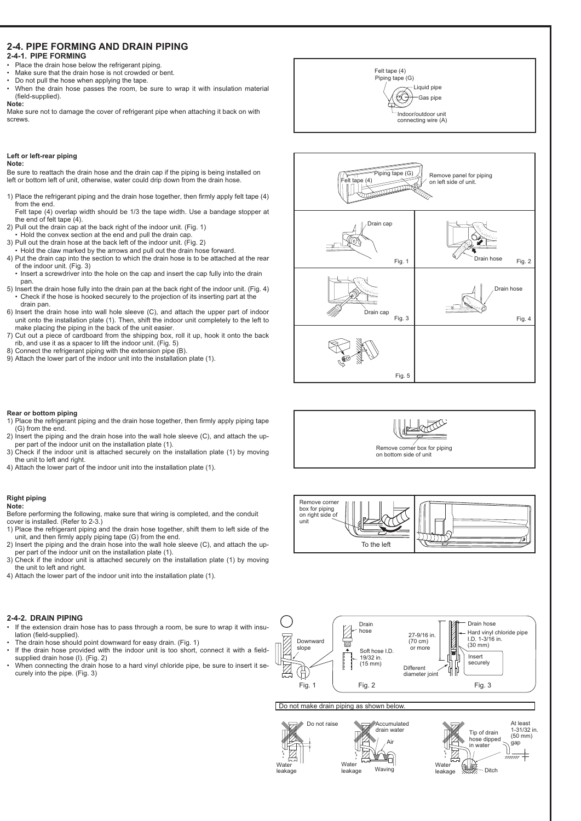## **2-4. PIPE FORMING AND DRAIN PIPING** 2-4-1. PIPE FORMING

- Place the drain hose below the refrigerant piping
- Make sure that the drain hose is not crowded or bent. Do not pull the hose when applying the tape.
- When the drain hose passes the room be sure to wrap it with insulation material (field-supplied).

#### Note:

Make sure not to damage the cover of refrigerant pipe when attaching it back on with screws

#### Left or left-rear piping Note:

Be sure to reattach the drain hose and the drain cap if the piping is being installed on left or bottom left of unit, otherwise, water could drip down from the drain hose.

- 1) Place the refrigerant piping and the drain hose together, then firmly apply felt tape (4) from the end.
- Felt tape (4) overlap width should be 1/3 the tape width. Use a bandage stopper at the end of felt tape (4).
- 2) Pull out the drain cap at the back right of the indoor unit. (Fig. 1)
- Hold the convex section at the end and pull the drain cap 3) Pull out the drain hose at the back left of the indoor unit. (Fig. 2)
- Hold the claw marked by the arrows and pull out the drain hose forward.
- 4) Put the drain cap into the section to which the drain hose is to be attached at the rear of the indoor unit. (Fig. 3)
- . Insert a screwdriver into the hole on the cap and insert the cap fully into the drain pan
- 5) Insert the drain hose fully into the drain pan at the back right of the indoor unit. (Fig. 4) • Check if the hose is hooked securely to the projection of its inserting part at the drain pan.
- 6) Insert the drain hose into wall hole sleeve (C), and attach the upper part of indoor unit onto the installation plate (1). Then, shift the indoor unit completely to the left to make placing the piping in the back of the unit easier.
- 7) Cut out a piece of cardboard from the shipping box, roll it up, hook it onto the back rib, and use it as a spacer to lift the indoor unit. (Fig. 5)
- 8) Connect the refrigerant piping with the extension pipe (B).
- 9) Attach the lower part of the indoor unit into the installation plate (1).

# Felt tape (4) Piping tape (G) Liquid pipe Æ Gas pipe Indoor/outdoor unit connecting wire (A) Piping tape (G) Remove panel for piping  $e(4)$ on left side of unit. **Support Designations** .<br>TRA Drain cap



Fig. 5

## Rear or bottom piping

- 1) Place the refrigerant piping and the drain hose together, then firmly apply piping tape (G) from the end.
- 2) Insert the piping and the drain hose into the wall hole sleeve (C), and attach the upper part of the indoor unit on the installation plate (1)
- 3) Check if the indoor unit is attached securely on the installation plate (1) by moving the unit to left and right.
- 4) Attach the lower part of the indoor unit into the installation plate (1).

### **Right piping** Note:

Before performing the following, make sure that wiring is completed, and the conduit cover is installed. (Refer to 2-3.)

- 1) Place the refrigerant piping and the drain hose together, shift them to left side of the 2) Insert the piping and the drain hose into the end.<br>2) Insert the piping and the drain hose into the wall hole sleeve (C), and attach the up-
- per part of the indoor unit on the installation plate (1). 3) Check if the indoor unit is attached securely on the installation plate (1) by moving
- the unit to left and right.
- 4) Attach the lower part of the indoor unit into the installation plate (1).

## 2-4-2. DRAIN PIPING

- If the extension drain hose has to pass through a room, be sure to wrap it with insulation (field-supplied).
- The drain hose should point downward for easy drain. (Fig. 1)
- If the drain hose provided with the indoor unit is too short, connect it with a fieldsupplied drain hose (I), (Fig. 2)
- When connecting the drain hose to a hard vinyl chloride pipe, be sure to insert it securely into the pipe. (Fig. 3)



To the left

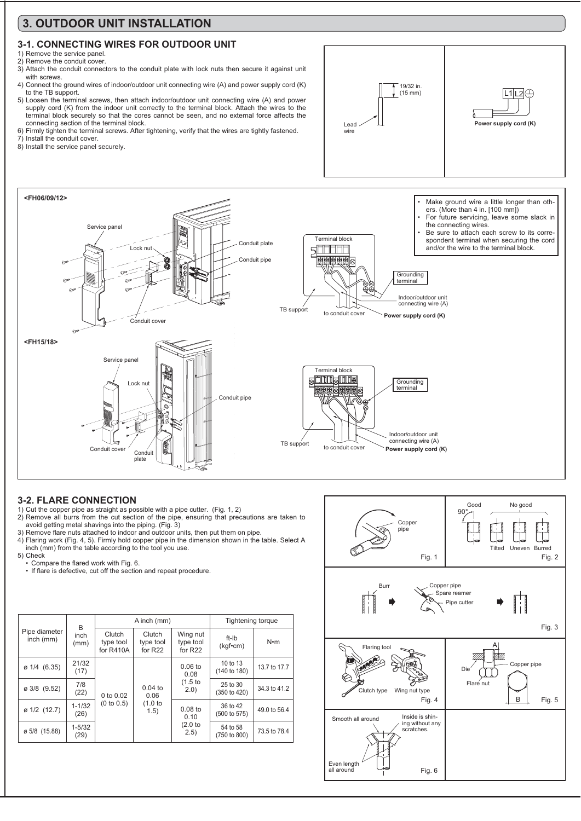# 3. OUTDOOR UNIT INSTALLATION

# 3-1, CONNECTING WIRES FOR OUTDOOR UNIT

- 1) Remove the service panel.
- 2) Remove the conduit cover
- 3) Attach the conduit connectors to the conduit plate with lock nuts then secure it against unit with screws.
- 4) Connect the ground wires of indoor/outdoor unit connecting wire (A) and power supply cord (K) to the TB support.
- 5) Loosen the terminal screws, then attach indoor/outdoor unit connecting wire (A) and power supply cord (K) from the indoor unit correctly to the terminal block. Attach the wires to the terminal block securely so that the cores cannot be seen, and no external force affects the connecting section of the terminal block.
- 6) Firmly tighten the terminal screws. After tightening, verify that the wires are tightly fastened.
- 7) Install the conduit cover.
- 8) Install the service panel securely.





# **3-2. FLARE CONNECTION**

1) Cut the copper pipe as straight as possible with a pipe cutter. (Fig. 1, 2)

- 2) Remove all burrs from the cut section of the pipe, ensuring that precautions are taken to avoid getting metal shavings into the piping. (Fig. 3)
- 
- 3) Remove flare nuts attached to indoor and outdoor units, then put them on pipe.<br>4) Flaring work (Fig. 4, 5). Firmly hold copper pipe in the dimension shown in the table. Select A inch (mm) from the table according to the tool you use.
- 5) Check
	- Compare the flared work with Fig. 6.
	- If flare is defective, cut off the section and repeat procedure.

|                            | B                  | A inch (mm)                      |                                | Tightening torque                   |                          |              |
|----------------------------|--------------------|----------------------------------|--------------------------------|-------------------------------------|--------------------------|--------------|
| Pipe diameter<br>inch (mm) | inch<br>(mm)       | Clutch<br>type tool<br>for R410A | Clutch<br>type tool<br>for R22 | Wing nut<br>type tool<br>for $R22$  | ft-Ib<br>(kgfem)         | $N \cdot m$  |
| $\varnothing$ 1/4 (6.35)   | 21/32<br>(17)      |                                  |                                | $0.06$ to<br>0.08                   | 10 to 13<br>(140 to 180) | 13.7 to 17.7 |
| ø 3/8 (9.52)               | 7/8<br>(22)        | 0 to 0.02<br>(0 to 0.5)          | $0.04$ to<br>0.06              | (1.5 <sub>to</sub><br>(2.0)         | 25 to 30<br>(350 to 420) | 34.3 to 41.2 |
| $\varnothing$ 1/2 (12.7)   | $1 - 1/32$<br>(26) |                                  | (1.0 to<br>1.5)                | $0.08$ to<br>0.10<br>(2.0)<br>(2.5) | 36 to 42<br>(500 to 575) | 49.0 to 56.4 |
| ø 5/8 (15.88)              | $1 - 5/32$<br>(29) |                                  |                                |                                     | 54 to 58<br>(750 to 800) | 73.5 to 78.4 |

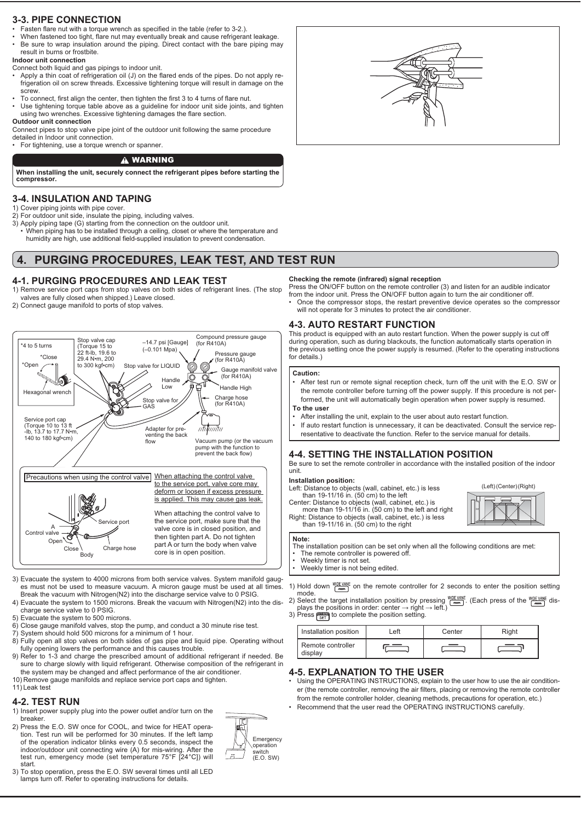# **3-3. PIPE CONNECTION**

- Fasten flare nut with a torque wrench as specified in the table (refer to 3-2.).
- When fastened too tight, flare nut may eventually break and cause refrigerant leakage. Be sure to wrap insulation around the piping. Direct contact with the bare piping may

#### result in burns or frostbite. Indoor unit connection

Connect both liquid and gas pipings to indoor unit.

- Apply a thin coat of refrigeration oil (J) on the flared ends of the pipes. Do not apply refrigeration oil on screw threads. Excessive tightening torque will result in damage on the screw.
- To connect, first align the center, then tighten the first 3 to 4 turns of flare nut.
- Use tightening torque table above as a guideline for indoor unit side joints, and tighten using two wrenches. Excessive tightening damages the flare section.

# Outdoor unit connection

Connect pipes to stop valve pipe joint of the outdoor unit following the same procedure detailed in Indoor unit connection.

For tightening, use a torque wrench or spanner.

# A WARNING

When installing the unit, securely connect the refrigerant pipes before starting the compressor.

# **3-4. INSULATION AND TAPING**

- 1) Cover piping joints with pipe cover.
- 2) For outdoor unit side, insulate the piping, including valves.
- 3) Apply piping tape (G) starting from the connection on the outdoor unit. When piping has to be installed through a ceiling, closet or where the temperature and humidity are high, use additional field-supplied insulation to prevent condensation.

#### PURGING PROCEDURES, LEAK TEST, AND TEST RUN 4.

# 4-1. PURGING PROCEDURES AND LEAK TEST

- 1) Remove service port caps from stop valves on both sides of refrigerant lines. (The stop valves are fully closed when shipped.) Leave closed.
- 2) Connect gauge manifold to ports of stop valves



- 3) Evacuate the system to 4000 microns from both service valves. System manifold gauges must not be used to measure vacuum. A micron gauge must be used at all times. Break the vacuum with Nitrogen(N2) into the discharge service valve to 0 PSIG.
- 4) Evacuate the system to 1500 microns. Break the vacuum with Nitrogen(N2) into the discharge service valve to 0 PSIG.
- 5) Evacuate the system to 500 microns.
- 6) Close gauge manifold valves, stop the pump, and conduct a 30 minute rise test.
- 7) System should hold 500 microns for a minimum of 1 hour.<br>8) Fully open all stop valves on both sides of gas pipe and liquid pipe. Operating without
- fully opening lowers the performance and this causes trouble.
- 9) Refer to 1-3 and charge the prescribed amount of additional refrigerant if needed. Be sure to charge slowly with liquid refrigerant. Otherwise composition of the refrigerant in the system may be changed and affect performance of the air conditioner.
- 10) Remove gauge manifolds and replace service port caps and tighten. 11) Leak test

# 4-2. TEST RUN

- 1) Insert power supply plug into the power outlet and/or turn on the breaker.
- 2) Press the E.O. SW once for COOL, and twice for HEAT operation. Test run will be performed for 30 minutes. If the left lamp of the operation indicator blinks every 0.5 seconds, inspect the indoor/outdoor unit connecting wire (A) for mis-wiring. After the test run, emergency mode (set temperature 75°F [24°C]) will start.
- 3) To stop operation, press the E.O. SW several times until all LED lamps turn off. Refer to operating instructions for details.



# Checking the remote (infrared) signal reception

Press the ON/OFF button on the remote controller (3) and listen for an audible indicator from the indoor unit. Press the ON/OFF button again to turn the air conditioner off. Once the compressor stops, the restart preventive device operates so the compressor will not operate for 3 minutes to protect the air conditioner.

# **4-3. AUTO RESTART FUNCTION**

This product is equipped with an auto restart function. When the power supply is cut off during operation, such as during blackouts, the function automatically starts operation in the previous setting once the power supply is resumed. (Refer to the operating instructions for details.)

## Caution:

- After test run or remote signal reception check, turn off the unit with the E.O. SW or the remote controller before turning off the power supply. If this procedure is not performed, the unit will automatically begin operation when power supply is resumed. To the user
- After installing the unit, explain to the user about auto restart function.
- If auto restart function is unnecessary, it can be deactivated. Consult the service representative to deactivate the function. Refer to the service manual for details.

## **4-4. SETTING THE INSTALLATION POSITION**

Be sure to set the remote controller in accordance with the installed position of the indoor

(Left) (Center) (Right)

## Installation position:

- Left: Distance to objects (wall, cabinet, etc.) is less than 19-11/16 in. (50 cm) to the left
- Center: Distance to objects (wall, cabinet, etc.) is<br>more than 19-11/16 in. (50 cm) to the left and right
- Right: Distance to objects (wall, cabinet, etc.) is less<br>than 19-11/16 in. (50 cm) to the right

## Note:

- The installation position can be set only when all the following conditions are met:<br>
The remote controller is powered off.
- 
- Weekly timer is not set. Weekly timer is not being edited

1) Hold down  $\frac{\text{WIDE} \text{ VANE}}{\text{dim}\Omega}$  on the remote controller for 2 seconds to enter the position setting mode.

2) Select the target installation position by pressing  $\frac{MDE \cdot VABC}{LMD}$ . (Each press of the  $\frac{WDE \cdot VABC}{LMD}$  dis-<br>3) Press  $\frac{WDE \cdot VAC}{SED}$  to complete the position setting.

| Installation position        | ∟eft | Center | Right |
|------------------------------|------|--------|-------|
| Remote controller<br>display |      |        |       |

## **4-5. EXPLANATION TO THE USER**

- Using the OPERATING INSTRUCTIONS, explain to the user how to use the air conditioner (the remote controller, removing the air filters, placing or removing the remote controller from the remote controller holder, cleaning methods, precautions for operation, etc.) Recommend that the user read the OPERATING INSTRUCTIONS carefully.
- $\mathbb{R}$ Emergency งperation witch  $\ddot{=}$  $(E.O. SW)$